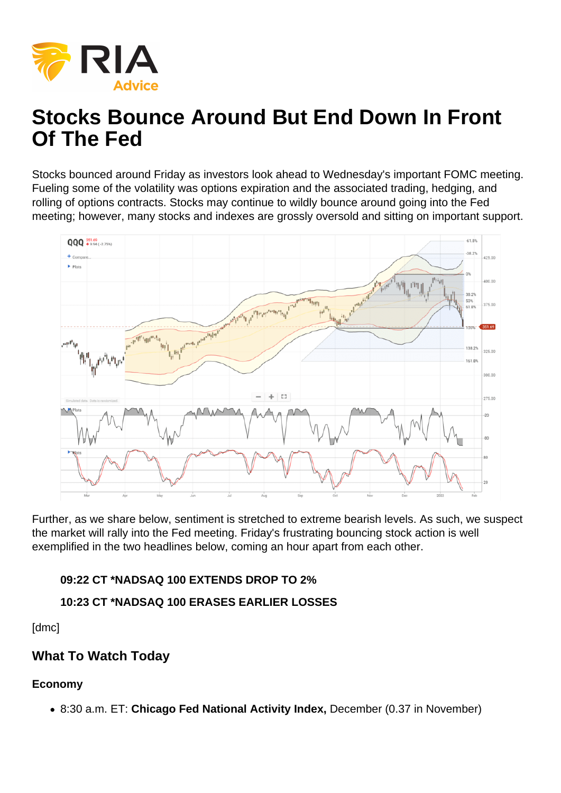# Stocks Bounce Around But End Down In Front Of The Fed

Stocks bounced around Friday as investors look ahead to Wednesday's important FOMC meeting. Fueling some of the volatility was options expiration and the associated trading, hedging, and rolling of options contracts. Stocks may continue to wildly bounce around going into the Fed meeting; however, many stocks and indexes are grossly oversold and sitting on important support.

Further, as we share below, sentiment is stretched to extreme bearish levels. As such, we suspect the market will rally into the Fed meeting. Friday's frustrating bouncing stock action is well exemplified in the two headlines below, coming an hour apart from each other.

09:22 CT \*NADSAQ 100 EXTENDS DROP TO 2%

10:23 CT \*NADSAQ 100 ERASES EARLIER LOSSES

[dmc]

What To Watch Today

Economy

• 8:30 a.m. ET: Chicago Fed National Activity Index, December (0.37 in November)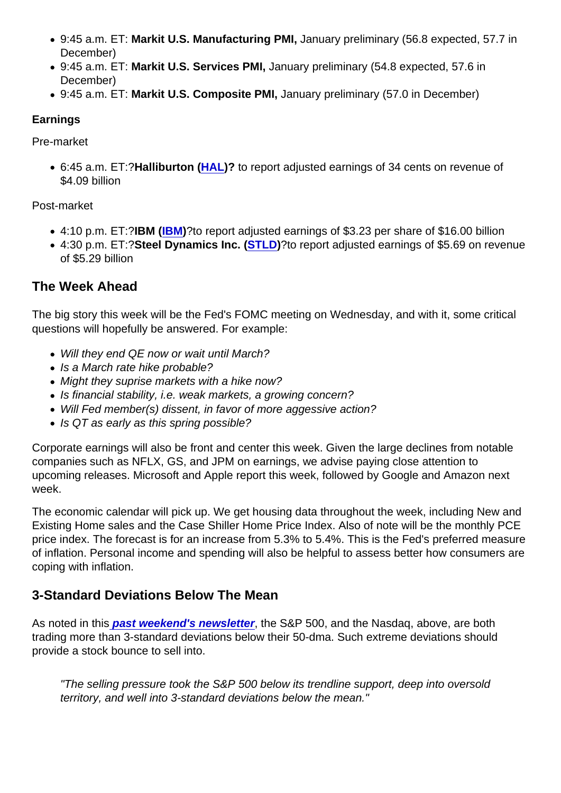- 9:45 a.m. ET: Markit U.S. Manufacturing PMI, January preliminary (56.8 expected, 57.7 in December)
- 9:45 a.m. ET: Markit U.S. Services PMI, January preliminary (54.8 expected, 57.6 in December)
- 9:45 a.m. ET: Markit U.S. Composite PMI, January preliminary (57.0 in December)

## Earnings

Pre-market

• 6:45 a.m. ET:?Halliburton ( [HAL](https://finance.yahoo.com/quote/HAL?p=HAL&.tsrc=fin-srch))? to report adjusted earnings of 34 cents on revenue of \$4.09 billion

## Post-market

- 4:10 p.m. ET:?IBM ([IBM](https://finance.yahoo.com/quote/IBM))?to report adjusted earnings of \$3.23 per share of \$16.00 billion
- 4:30 p.m. ET:?Steel Dynamics Inc. ( [STLD](https://finance.yahoo.com/quote/STLD))?to report adjusted earnings of \$5.69 on revenue of \$5.29 billion

## The Week Ahead

The big story this week will be the Fed's FOMC meeting on Wednesday, and with it, some critical questions will hopefully be answered. For example:

- Will they end QE now or wait until March?
- Is a March rate hike probable?
- Might they suprise markets with a hike now?
- Is financial stability, i.e. weak markets, a growing concern?
- Will Fed member(s) dissent, in favor of more aggessive action?
- Is QT as early as this spring possible?

Corporate earnings will also be front and center this week. Given the large declines from notable companies such as NFLX, GS, and JPM on earnings, we advise paying close attention to upcoming releases. Microsoft and Apple report this week, followed by Google and Amazon next week.

The economic calendar will pick up. We get housing data throughout the week, including New and Existing Home sales and the Case Shiller Home Price Index. Also of note will be the monthly PCE price index. The forecast is for an increase from 5.3% to 5.4%. This is the Fed's preferred measure of inflation. Personal income and spending will also be helpful to assess better how consumers are coping with inflation.

## 3-Standard Deviations Below The Mean

As noted in thi[s past weekend's newsletter](https://realinvestmentadvice.com/retail-investors-panic-as-market-plunges/) , the S&P 500, and the Nasdaq, above, are both trading more than 3-standard deviations below their 50-dma. Such extreme deviations should provide a stock bounce to sell into.

"The selling pressure took the S&P 500 below its trendline support, deep into oversold territory, and well into 3-standard deviations below the mean."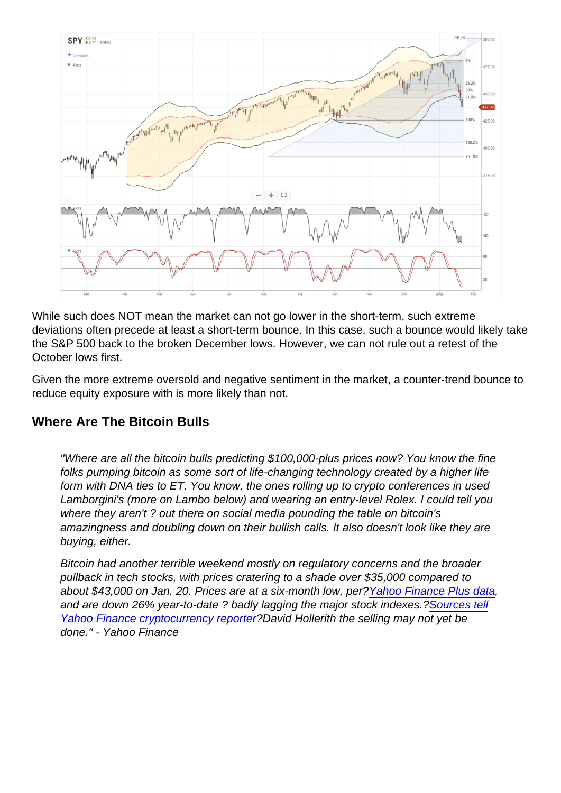While such does NOT mean the market can not go lower in the short-term, such extreme deviations often precede at least a short-term bounce. In this case, such a bounce would likely take the S&P 500 back to the broken December lows. However, we can not rule out a retest of the October lows first.

Given the more extreme oversold and negative sentiment in the market, a counter-trend bounce to reduce equity exposure with is more likely than not.

### Where Are The Bitcoin Bulls

"Where are all the bitcoin bulls predicting \$100,000-plus prices now? You know the fine folks pumping bitcoin as some sort of life-changing technology created by a higher life form with DNA ties to ET. You know, the ones rolling up to crypto conferences in used Lamborgini's (more on Lambo below) and wearing an entry-level Rolex. I could tell you where they aren't ? out there on social media pounding the table on bitcoin's amazingness and doubling down on their bullish calls. It also doesn't look like they are buying, either.

Bitcoin had another terrible weekend mostly on regulatory concerns and the broader pullback in tech stocks, with prices cratering to a shade over \$35,000 compared to about \$43,000 on Jan. 20. Prices are at a six-month low, per?[Yahoo Finance Plus data,](https://www.yahoo.com/plus/finance?ncid=editoriald_yhm5ec0oo8o) and are down 26% year-to-date ? badly lagging the major stock indexes.?[Sources tell](https://finance.yahoo.com/video/bitcoin-price-plunges-below-39-152042881.html) [Yahoo Finance cryptocurrency reporter](https://finance.yahoo.com/video/bitcoin-price-plunges-below-39-152042881.html)?David Hollerith the selling may not yet be done." - Yahoo Finance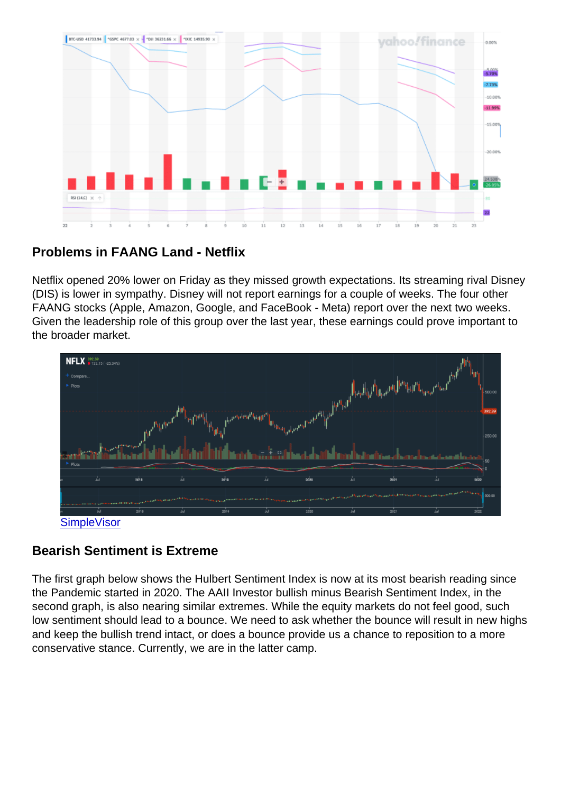Problems in FAANG Land - Netflix

Netflix opened 20% lower on Friday as they missed growth expectations. Its streaming rival Disney (DIS) is lower in sympathy. Disney will not report earnings for a couple of weeks. The four other FAANG stocks (Apple, Amazon, Google, and FaceBook - Meta) report over the next two weeks. Given the leadership role of this group over the last year, these earnings could prove important to the broader market.

### **[SimpleVisor](http://www.simplevisor.com)**

### Bearish Sentiment is Extreme

The first graph below shows the Hulbert Sentiment Index is now at its most bearish reading since the Pandemic started in 2020. The AAII Investor bullish minus Bearish Sentiment Index, in the second graph, is also nearing similar extremes. While the equity markets do not feel good, such low sentiment should lead to a bounce. We need to ask whether the bounce will result in new highs and keep the bullish trend intact, or does a bounce provide us a chance to reposition to a more conservative stance. Currently, we are in the latter camp.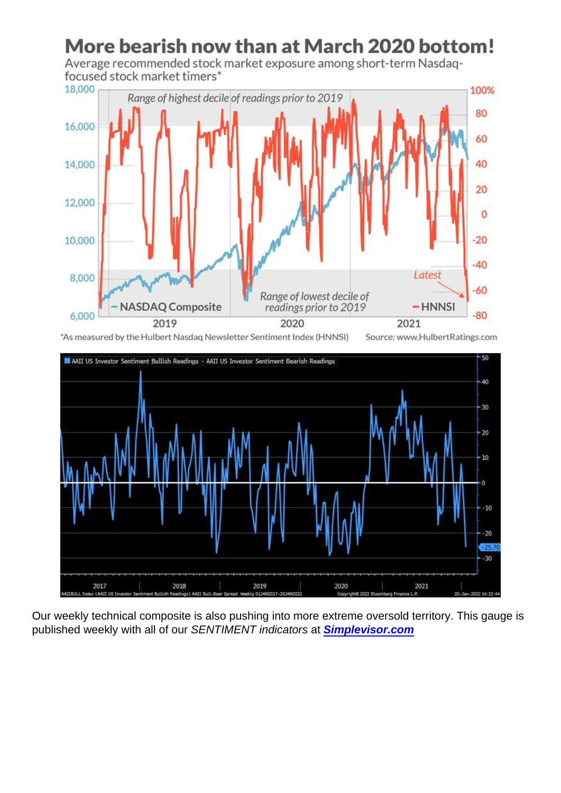Our weekly technical composite is also pushing into more extreme oversold territory. This gauge is published weekly with all of our SENTIMENT indicators at [Simplevisor.com](https://simplevisor.com)